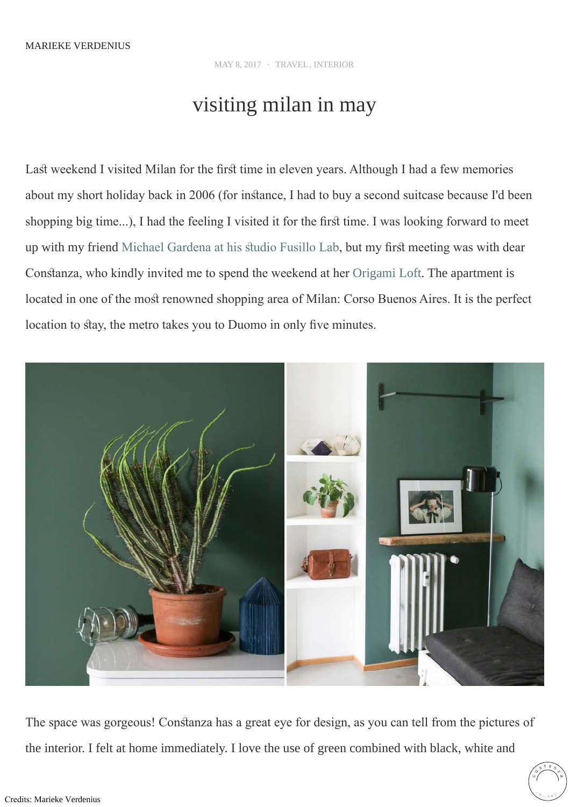## MARIEKE VERDENIUS

MAY 8, 2017 · [TRAVEL](http://www.mariekeverdenius.com/stories/?category=travel), [INTERIOR](http://www.mariekeverdenius.com/stories/?category=interior)

## visiting milan in may

Last weekend I visited Milan for the first time in eleven years. Although I had a few memories about my short holiday back in 2006 (for instance, I had to buy a second suitcase because I'd been shopping big time...), I had the feeling I visited it for the first time. I was looking forward to meet up with my friend Michael Gardena at his studio Fusillo Lab, but my first meeting was with dear Constanza, who kindly invited me to spend the weekend at her [Origami Loft](https://www.airbnb.nl/rooms/2774929). The apartment is located in one of the most renowned shopping area of Milan: Corso Buenos Aires. It is the perfect location to stay, the metro takes you to Duomo in only five minutes.



The space was gorgeous! Constanza has a great eye for design, as you can tell from the pictures of the interior. I felt at home immediately. I love the use of green combined with black, white and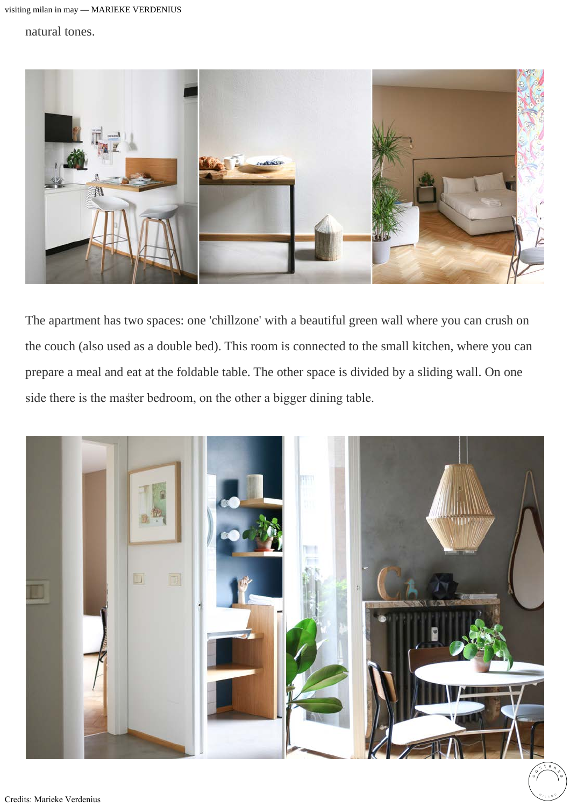## natural tones.



The apartment has two spaces: one 'chillzone' with a beautiful green wall where you can crush on the couch (also used as a double bed). This room is connected to the small kitchen, where you can prepare a meal and eat at the foldable table. The other space is divided by a sliding wall. On one side there is the master bedroom, on the other a bigger dining table.